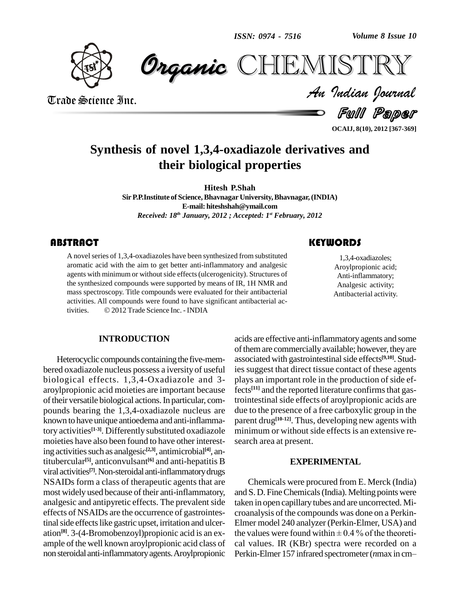*Volume 8 Issue 10*



 *Indian Journal* **CHEMISTRY** 

Trade Science Inc. Trade Science Inc.

Full Paper

**OCAIJ, 8(10), 2012 [367-369]**

# **Synthesis of novel 1,3,4-oxadiazole derivatives and their biological properties**

**Hitesh P.Shah SirP.P.Institute of Science,Bhavnagar University,Bhavnagar,(INDIA) E-mail: [hiteshshah@ymail.com](mailto:hiteshshah@ymail.com)** *Received: 18 th January, 2012 ; Accepted: 1 st February, 2012*

# **ABSTRACT**

A novel series of  $1,3,4$ -o<br>aromatic acid with the agents with minimum or A novel series of 1,3,4-oxadiazoles have been synthesized from substituted aromatic acid with the aim to get better anti-inflammatory and analgesic agents with minimum or without side effects (ulcerogenicity). Structures of the synthesized compounds were supported by means of IR, 1H NMR and mass spectroscopy. Title compounds were evaluated for their antibacterial activities. All compounds were found to have significant antibacterial activities. © 2012 Trade Science Inc. - INDIA activities. All compounds were found to have significant antibacterial ac-

## **INTRODUCTION**

Heterocyclic compounds containing the five-membered oxadiazole nucleus possess a iversity of useful biological effects. 1,3,4-Oxadiazole and 3 aroylpropionic acid moieties are important because of their versatile biological actions. In particular, compounds bearing the 1,3,4-oxadiazole nucleus are known to have unique antioedema and anti-inflammatory activities **[1-3]**. Differently substituted oxadiazole moieties have also been found to have other interesting activities such as analgesic<sup>[2,3]</sup>, antimicrobial<sup>[4]</sup>, antitubercular **[5]**, anticonvulsant **[6]** and anti-hepatitis B viral activities **[7]**.Non-steroidal anti-inflammatorydrugs NSAIDs form a class of therapeutic agents that are most widely used because of their anti-inflammatory, analgesic and antipyretic effects. The prevalent side effects of NSAIDs are the occurrence of gastrointestinal side effects like gastric upset, irritation and ulceration<sup>[8]</sup>. 3-(4-Bromobenzoyl) propionic acid is an ex- the ample of the well known aroyl propionic acid class of non steroidal anti-inflammatoryagents.Aroylpropionic

# acids are effective anti-inflammatoryagents and some of them are commercially available; however, they are associated with gastrointestinal side effects<sup>[9,10]</sup>. Studies suggest that direct tissue contact of these agents plays an important role in the production of side effects<sup>[11]</sup> and the reported literature confirms that gastrointestinal side effects of aroylpropionic acids are due to the presence of a free carboxylic group in the parent drug **[10-12]**. Thus, developing new agents with minimum or without side effects is an extensive re search area at present.

#### **EXPERIMENTAL**

Chemicals were procured from E. Merck (India) and S. D. FineChemicals(India). Melting points were taken in open capillary tubes and are uncorrected. Mi croanalysis of the compounds was done on a Perkin- Elmer model 240 analyzer (Perkin-Elmer, USA) and croanalysis of the compounds was done on a Perkin-<br>Elmer model 240 analyzer (Perkin-Elmer, USA) and<br>the values were found within  $\pm$  0.4 % of the theoretical values. IR (KBr) spectra were recorded on a the values were found within  $\pm$  0.4 % of the theoretical values. IR (KBr) spectra were recorded on a Perkin-Elmer 157 infrared spectrometer (*n*max in cm–

1,3,4-oxadiazoles;<br>Aroylpropionic acid;<br>Anti-inflammatory; 1,3,4-oxadiazoles; Aroylpropionic acid; Analgesic activity; Antibacterial activity.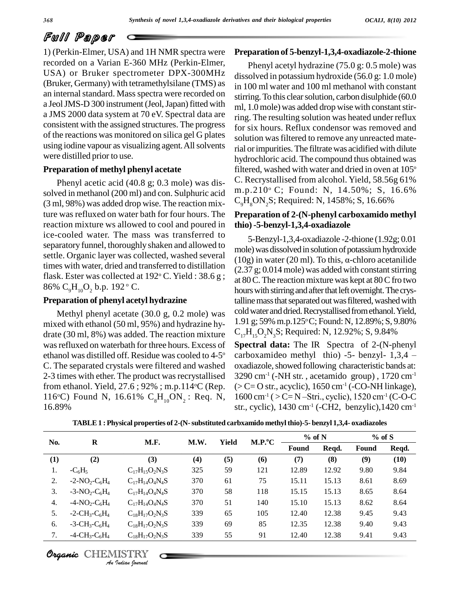# Full Paper

1) (Perkin-Elmer, USA) and 1H NMR spectra were recorded on a Varian E-360 MHz (Perkin-Elmer, USA) or Bruker spectrometer DPX-300MHz (Bruker, Germany) with tetramethylsilane (TMS) as an internal standard. Mass spectra were recorded on a Jeol JMS-D 300 instrument (Jeol, Japan) fitted with a JMS 2000 data system at 70 eV. Spectral data are consistent with the assigned structures. The progress of the reactions was monitored on silica gel G plates using iodine vapour as visualizing agent. All solvents were distilled prior to use.

# **Preparation of methyl phenyl acetate**

Phenyl acetic acid (40.8 g; 0.3 mole) was dis solved in methanol (200 ml) and con. Sulphuric acid (3 ml, 98%) was added drop wise. The reaction mixture was refluxed on water bath for four hours. The reaction mixture ws allowed to cool and poured in ice-cooled water. The mass was transferred to separatory funnel, thoroughly shaken and allowed to settle. Organic layer was collected, washed several  $(10g)$  in water (20 ml). To this,  $\alpha$ -chloro acetanilide times with water, dried and transferred to distillation flask. Ester was collected at 192 $\degree$  C. Yield : 38.6 g;  $\frac{1257}{\cancel{96}}$ 86%  $C_9H_{10}O_2$  b.p. 192  $^{\circ}$  C.

### **Preparation of phenyl acetyl hydrazine**

Methyl phenyl acetate (30.0 g, 0.2 mole) was mixed with ethanol (50 ml, 95%) and hydrazine hy drate (30 ml, 8%) was added. The reaction mixture was refluxed on waterbath for three hours. Excess of ethanol was distilled off. Residue was cooled to 4-5 C. The separated crystals were filtered and washed 2-3 times with ether. The product was recrystallised from ethanol. Yield, 27.6 ; 92% ; m.p.114 °C (Rep.  $\geq 0$ ) 116°C) Found N, 16.61%  $C_8H_{10}ON_2$ : Req. N, 16 16.89%

#### **Preparation of 5-benzyl-1,3,4-oxadiazole-2-thione**

Phenyl acetyl hydrazine (75.0 g: 0.5 mole) was dissolved in potassium hydroxide (56.0 g: 1.0 mole) in 100 ml water and 100 ml methanol with constant stirring. To this clear solution, carbon disulphide (60.0) ml, 1.0 mole) was added drop wise with constant stirring. The resulting solution was heated under reflux for six hours. Reflux condensor was removed and solution was filtered to remove any unreacted material orimpurities.The filtrate was acidified with dilute hydrochloric acid. The compound thus obtained was filtered, washed with water and dried in oven at  $105^{\circ}$ C. Recrystallised from alcohol. Yield, 58.56g 61% m.p.210 <sup>o</sup> C; Found: N, 14.50%; S, 16.6%  $C_{0}H_{0}ON_{0}S$ ; Required: N, 1458%; S, 16.66%

# **Preparation of 2-(N-phenyl carboxamido methyl thio)-5-benzyl-1,3,4-oxadiazole**

5-Benzyl-1,3,4-oxadiazole -2-thione (1.92g; 0.01 mole) was dissolved in solution of potassium hydroxide 5-Benzyl-1,3,4-oxadiazole -2-thione (1.92g; 0.01<br>mole) was dissolved in solution of potassium hydroxide<br>(10g) in water (20 ml). To this,  $\alpha$ -chloro acetanilide  $(2.37 \text{ g}; 0.014 \text{ mole})$  was added with constant stirring at 80 C. The reaction mixture was kept at 80 C fro two hours with stirring and after that left overnight. The crystalline mass that separated out was filtered, washed with cold water and dried. Recrystallised from ethanol. Yield, 1.91 g; 59% m.p.125°C; Found: N, 12.89%; S, 9.80%  $C_{17}H_{15}O_2N_3S$ ; Required: N, 12.92%; S, 9.84%

carboxamideo methyl thio) -5- benzyl-  $1,3,4$  -**Spectral data:** The IR Spectra of 2-(N-phenyl  $C_{17}H_{15}O_2N_3S$ ; Required: N, 12.92%; S, 9.84%<br>**Spectral data:** The IR Spectra of 2-(N-phenyl<br>carboxamideo methyl thio) -5- benzyl- 1,3,4 – oxadiazole, showed following characteristic bands at:  $3290$  cm<sup>-1</sup> (-NH str., acetamido group),  $1720$  cm<sup>-1</sup>  $(> C = O str., acyclic), 1650 cm^{-1} (-CO-NH linkage),$  $1600 \text{ cm}^{-1}$  ( > C= N -Stri., cyclic),  $1520 \text{ cm}^{-1}$  (C-O-C str., cyclic), 1430 cm-1 (-CH2, benzylic),1420 cm-1

|                  | $\bf R$                                              | M.F.                  | M.W. | <b>Yield</b> | M.P. <sup>o</sup> C | $%$ of N |       | $%$ of S |       |
|------------------|------------------------------------------------------|-----------------------|------|--------------|---------------------|----------|-------|----------|-------|
| No.              |                                                      |                       |      |              |                     | Found    | Reqd. | Found    | Reqd. |
| (1)              | (2)                                                  | (3)                   | (4)  | (5)          | (6)                 | (7)      | (8)   | (9)      | (10)  |
| 1.               | $-C_6H_5$                                            | $C_{17}H_{15}O_2N_3S$ | 325  | 59           | 121                 | 12.89    | 12.92 | 9.80     | 9.84  |
| 2.               | $-2-NO2-C6H4$                                        | $C_{17}H_{14}O_4N_4S$ | 370  | 61           | 75                  | 15.11    | 15.13 | 8.61     | 8.69  |
| 3.               | $-3-NO_2-C_6H_4$                                     | $C_{17}H_{14}O_4N_4S$ | 370  | 58           | 118                 | 15.15    | 15.13 | 8.65     | 8.64  |
| $\overline{4}$ . | $-4-NO_2-C_6H_4$                                     | $C_{17}H_{14}O_4N_4S$ | 370  | 51           | 140                 | 15.10    | 15.13 | 8.62     | 8.64  |
| 5.               | $-2$ -CH <sub>3</sub> -C <sub>6</sub> H <sub>4</sub> | $C_{18}H_{17}O_2N_3S$ | 339  | 65           | 105                 | 12.40    | 12.38 | 9.45     | 9.43  |
| 6.               | $-3$ -CH <sub>3</sub> -C <sub>6</sub> H <sub>4</sub> | $C_{18}H_{17}O_2N_3S$ | 339  | 69           | 85                  | 12.35    | 12.38 | 9.40     | 9.43  |
| 7.               | $-4$ -CH <sub>3</sub> -C <sub>6</sub> H <sub>4</sub> | $C_{18}H_{17}O_2N_3S$ | 339  | 55           | 91                  | 12.40    | 12.38 | 9.41     | 9.43  |

**TABLE1 : Physical properties of 2-(N-substituted carbxamido methyl thio)-5- benzyl 1,3,4- oxadiazoles**